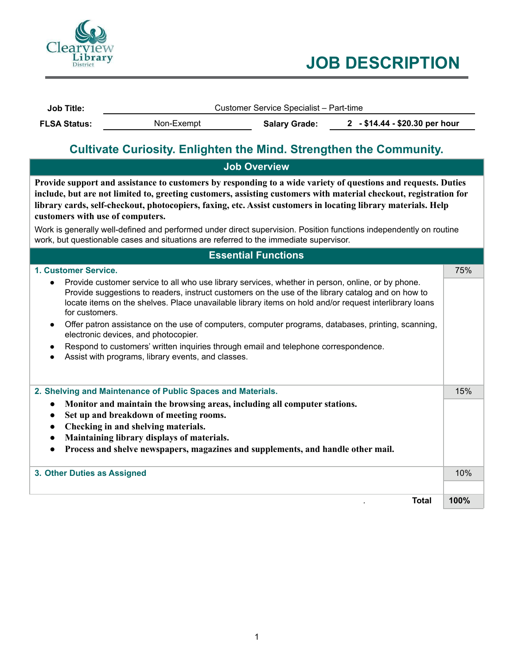

# **JOB DESCRIPTION**

| <b>Job Title:</b>   | Customer Service Specialist - Part-time |                      |                                |  |
|---------------------|-----------------------------------------|----------------------|--------------------------------|--|
| <b>FLSA Status:</b> | Non-Exempt                              | <b>Salary Grade:</b> | 2 - \$14.44 - \$20.30 per hour |  |

## **Cultivate Curiosity. Enlighten the Mind. Strengthen the Community.**

| <b>Job Overview</b>                                                                                                                                                                                                                                                                                                                                                                                                                                                                                                                                                                                    |      |
|--------------------------------------------------------------------------------------------------------------------------------------------------------------------------------------------------------------------------------------------------------------------------------------------------------------------------------------------------------------------------------------------------------------------------------------------------------------------------------------------------------------------------------------------------------------------------------------------------------|------|
| Provide support and assistance to customers by responding to a wide variety of questions and requests. Duties<br>include, but are not limited to, greeting customers, assisting customers with material checkout, registration for<br>library cards, self-checkout, photocopiers, faxing, etc. Assist customers in locating library materials. Help<br>customers with use of computers.<br>Work is generally well-defined and performed under direct supervision. Position functions independently on routine<br>work, but questionable cases and situations are referred to the immediate supervisor. |      |
| <b>Essential Functions</b>                                                                                                                                                                                                                                                                                                                                                                                                                                                                                                                                                                             |      |
| 1. Customer Service.                                                                                                                                                                                                                                                                                                                                                                                                                                                                                                                                                                                   | 75%  |
| Provide customer service to all who use library services, whether in person, online, or by phone.<br>Provide suggestions to readers, instruct customers on the use of the library catalog and on how to<br>locate items on the shelves. Place unavailable library items on hold and/or request interlibrary loans<br>for customers.                                                                                                                                                                                                                                                                    |      |
| Offer patron assistance on the use of computers, computer programs, databases, printing, scanning,<br>electronic devices, and photocopier.                                                                                                                                                                                                                                                                                                                                                                                                                                                             |      |
| Respond to customers' written inquiries through email and telephone correspondence.<br>Assist with programs, library events, and classes.                                                                                                                                                                                                                                                                                                                                                                                                                                                              |      |
| 2. Shelving and Maintenance of Public Spaces and Materials.                                                                                                                                                                                                                                                                                                                                                                                                                                                                                                                                            | 15%  |
| Monitor and maintain the browsing areas, including all computer stations.                                                                                                                                                                                                                                                                                                                                                                                                                                                                                                                              |      |
| Set up and breakdown of meeting rooms.                                                                                                                                                                                                                                                                                                                                                                                                                                                                                                                                                                 |      |
| Checking in and shelving materials.                                                                                                                                                                                                                                                                                                                                                                                                                                                                                                                                                                    |      |
| Maintaining library displays of materials.                                                                                                                                                                                                                                                                                                                                                                                                                                                                                                                                                             |      |
| Process and shelve newspapers, magazines and supplements, and handle other mail.                                                                                                                                                                                                                                                                                                                                                                                                                                                                                                                       |      |
| 3. Other Duties as Assigned                                                                                                                                                                                                                                                                                                                                                                                                                                                                                                                                                                            | 10%  |
| <b>Total</b>                                                                                                                                                                                                                                                                                                                                                                                                                                                                                                                                                                                           | 100% |